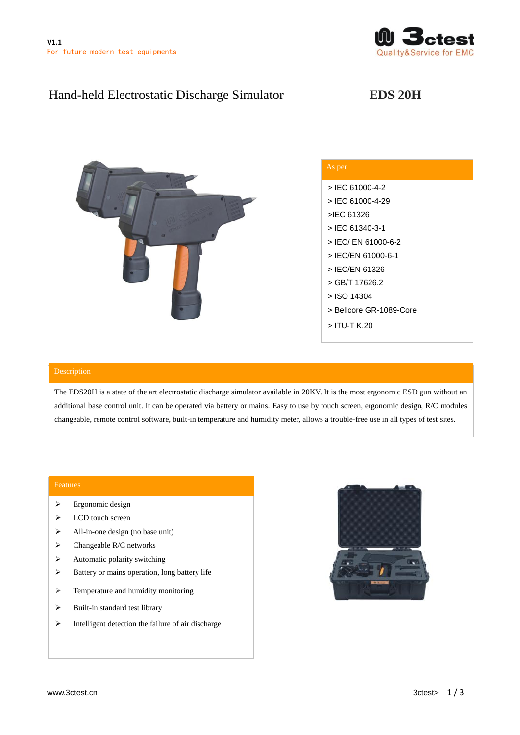

# Hand-held Electrostatic Discharge Simulator **EDS 20H**



| As per                  |
|-------------------------|
| $>$ IEC 61000-4-2       |
| > IEC 61000-4-29        |
| >JEC 61326              |
| > IEC 61340-3-1         |
| > IEC/ EN 61000-6-2     |
| > IEC/EN 61000-6-1      |
| > IFC/FN 61326          |
| > GB/T 17626.2          |
| > ISO 14304             |
| > Bellcore GR-1089-Core |
| > ITU-T K.20            |

The EDS20H is a state of the art electrostatic discharge simulator available in 20KV. It is the most ergonomic ESD gun without an additional base control unit. It can be operated via battery or mains. Easy to use by touch screen, ergonomic design, R/C modules changeable, remote control software, built-in temperature and humidity meter, allows a trouble-free use in all types of test sites.

## Features

- $\triangleright$  Ergonomic design
- > LCD touch screen
- $\triangleright$  All-in-one design (no base unit)
- $\triangleright$  Changeable R/C networks
- $\triangleright$  Automatic polarity switching
- $\triangleright$  Battery or mains operation, long battery life
- > Temperature and humidity monitoring
- $\triangleright$  Built-in standard test library
- $\triangleright$  Intelligent detection the failure of air discharge

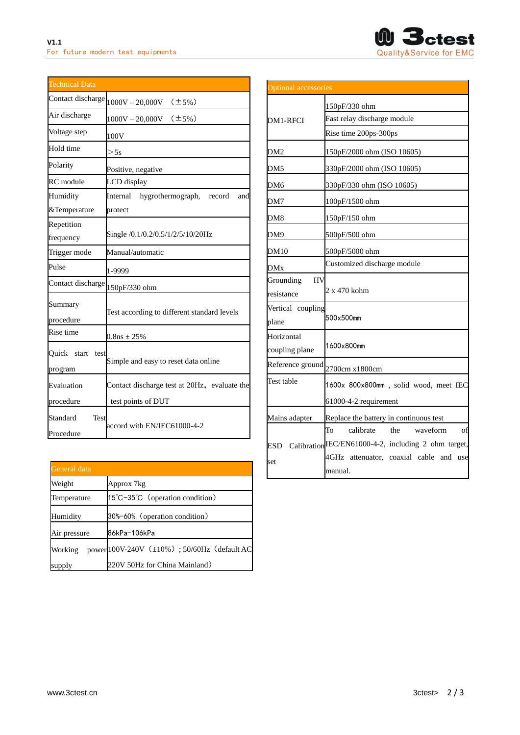

| <b>Technical Data</b>                |                                              |
|--------------------------------------|----------------------------------------------|
| Contact discharge                    | $1000V - 20000V$ (±5%)                       |
| Air discharge                        | $1000V - 20,000V$ (±5%)                      |
| Voltage step                         | 100V                                         |
| Hold time                            | >5s                                          |
| Polarity                             | Positive, negative                           |
| RC module                            | LCD display                                  |
| Humidity                             | hygrothermograph, record<br>Internal<br>and  |
| &Temperature                         | protect                                      |
| Repetition                           |                                              |
| frequency                            | Single /0.1/0.2/0.5/1/2/5/10/20Hz            |
| Trigger mode                         | Manual/automatic                             |
| Pulse                                | 1-9999                                       |
| Contact discharge                    | 150pF/330 ohm                                |
| Summary<br>procedure                 | Test according to different standard levels  |
| Rise time                            | $0.8$ ns $\pm 25%$                           |
| Ouick<br>start<br>test<br>program    | Simple and easy to reset data online         |
| Evaluation                           | Contact discharge test at 20Hz, evaluate the |
| procedure                            | test points of DUT                           |
| Standard<br><b>Test</b><br>Procedure | accord with EN/IEC61000-4-2                  |

| General data |                                            |  |
|--------------|--------------------------------------------|--|
| Weight       | Approx 7kg                                 |  |
| Temperature  | 15°C-35°C (operation condition)            |  |
| Humidity     | 30%-60% (operation condition)              |  |
| Air pressure | 86kPa-106kPa                               |  |
| Working      | power100V-240V (±10%); 50/60Hz (default AC |  |
| supply       | 220V 50Hz for China Mainland)              |  |

| <b>Optional accessories</b>          |                                                                                                                                                          |  |
|--------------------------------------|----------------------------------------------------------------------------------------------------------------------------------------------------------|--|
| DM1-RFCI                             | 150pF/330 ohm<br>Fast relay discharge module<br>Rise time 200ps-300ps                                                                                    |  |
| DM2                                  | 150pF/2000 ohm (ISO 10605)                                                                                                                               |  |
| DM5                                  | 330pF/2000 ohm (ISO 10605)                                                                                                                               |  |
| DM6                                  | 330pF/330 ohm (ISO 10605)                                                                                                                                |  |
| DM7                                  | 100pF/1500 ohm                                                                                                                                           |  |
| DM8                                  | 150pF/150 ohm                                                                                                                                            |  |
| DM9                                  | 500pF/500 ohm                                                                                                                                            |  |
| DM10                                 | 500pF/5000 ohm                                                                                                                                           |  |
| DMx                                  | Customized discharge module                                                                                                                              |  |
| Grounding<br><b>HV</b><br>resistance | 2 x 470 kohm                                                                                                                                             |  |
| Vertical coupling<br>plane           | 500x500mm                                                                                                                                                |  |
| Horizontal<br>coupling plane         | 1600x800mm                                                                                                                                               |  |
| Reference ground                     | 2700cm x1800cm                                                                                                                                           |  |
| Test table                           | 1600x 800x800mm, solid wood, meet IEC<br>61000-4-2 requirement                                                                                           |  |
| Mains adapter                        | Replace the battery in continuous test                                                                                                                   |  |
| set                                  | the<br>waveform<br>To<br>calibrate<br>of<br>ESD Calibration EC/EN61000-4-2, including 2 ohm target,<br>4GHz attenuator, coaxial cable and use<br>manual. |  |